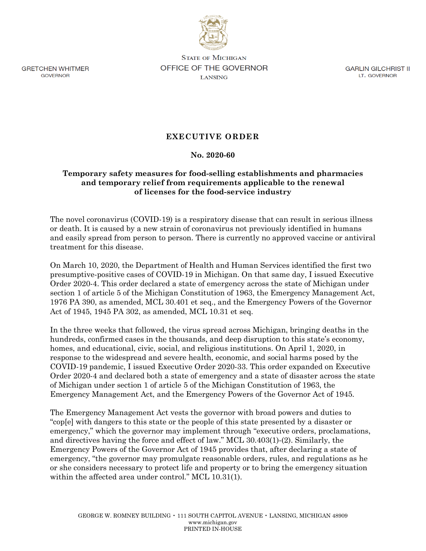

**GRETCHEN WHITMER** GOVERNOR

**STATE OF MICHIGAN OFFICE OF THE GOVERNOR LANSING** 

GARLIN GILCHRIST II LT. GOVERNOR

## **EXECUTIVE ORDER**

## **No. 2020-60**

## **Temporary safety measures for food-selling establishments and pharmacies and temporary relief from requirements applicable to the renewal of licenses for the food-service industry**

The novel coronavirus (COVID-19) is a respiratory disease that can result in serious illness or death. It is caused by a new strain of coronavirus not previously identified in humans and easily spread from person to person. There is currently no approved vaccine or antiviral treatment for this disease.

On March 10, 2020, the Department of Health and Human Services identified the first two presumptive-positive cases of COVID-19 in Michigan. On that same day, I issued Executive Order 2020-4. This order declared a state of emergency across the state of Michigan under section 1 of article 5 of the Michigan Constitution of 1963, the Emergency Management Act, 1976 PA 390, as amended, MCL 30.401 et seq., and the Emergency Powers of the Governor Act of 1945, 1945 PA 302, as amended, MCL 10.31 et seq.

In the three weeks that followed, the virus spread across Michigan, bringing deaths in the hundreds, confirmed cases in the thousands, and deep disruption to this state's economy, homes, and educational, civic, social, and religious institutions. On April 1, 2020, in response to the widespread and severe health, economic, and social harms posed by the COVID-19 pandemic, I issued Executive Order 2020-33. This order expanded on Executive Order 2020-4 and declared both a state of emergency and a state of disaster across the state of Michigan under section 1 of article 5 of the Michigan Constitution of 1963, the Emergency Management Act, and the Emergency Powers of the Governor Act of 1945.

The Emergency Management Act vests the governor with broad powers and duties to "cop[e] with dangers to this state or the people of this state presented by a disaster or emergency," which the governor may implement through "executive orders, proclamations, and directives having the force and effect of law." MCL 30.403(1)-(2). Similarly, the Emergency Powers of the Governor Act of 1945 provides that, after declaring a state of emergency, "the governor may promulgate reasonable orders, rules, and regulations as he or she considers necessary to protect life and property or to bring the emergency situation within the affected area under control." MCL 10.31(1).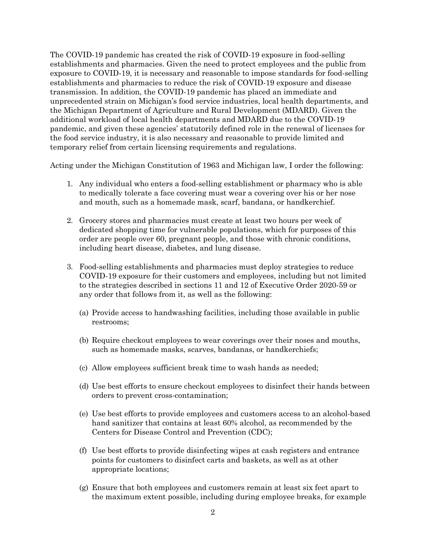The COVID-19 pandemic has created the risk of COVID-19 exposure in food-selling establishments and pharmacies. Given the need to protect employees and the public from exposure to COVID-19, it is necessary and reasonable to impose standards for food-selling establishments and pharmacies to reduce the risk of COVID-19 exposure and disease transmission. In addition, the COVID-19 pandemic has placed an immediate and unprecedented strain on Michigan's food service industries, local health departments, and the Michigan Department of Agriculture and Rural Development (MDARD). Given the additional workload of local health departments and MDARD due to the COVID-19 pandemic, and given these agencies' statutorily defined role in the renewal of licenses for the food service industry, it is also necessary and reasonable to provide limited and temporary relief from certain licensing requirements and regulations.

Acting under the Michigan Constitution of 1963 and Michigan law, I order the following:

- 1. Any individual who enters a food-selling establishment or pharmacy who is able to medically tolerate a face covering must wear a covering over his or her nose and mouth, such as a homemade mask, scarf, bandana, or handkerchief.
- 2. Grocery stores and pharmacies must create at least two hours per week of dedicated shopping time for vulnerable populations, which for purposes of this order are people over 60, pregnant people, and those with chronic conditions, including heart disease, diabetes, and lung disease.
- 3. Food-selling establishments and pharmacies must deploy strategies to reduce COVID-19 exposure for their customers and employees, including but not limited to the strategies described in sections 11 and 12 of Executive Order 2020-59 or any order that follows from it, as well as the following:
	- (a) Provide access to handwashing facilities, including those available in public restrooms;
	- (b) Require checkout employees to wear coverings over their noses and mouths, such as homemade masks, scarves, bandanas, or handkerchiefs;
	- (c) Allow employees sufficient break time to wash hands as needed;
	- (d) Use best efforts to ensure checkout employees to disinfect their hands between orders to prevent cross-contamination;
	- (e) Use best efforts to provide employees and customers access to an alcohol-based hand sanitizer that contains at least 60% alcohol, as recommended by the Centers for Disease Control and Prevention (CDC);
	- (f) Use best efforts to provide disinfecting wipes at cash registers and entrance points for customers to disinfect carts and baskets, as well as at other appropriate locations;
	- (g) Ensure that both employees and customers remain at least six feet apart to the maximum extent possible, including during employee breaks, for example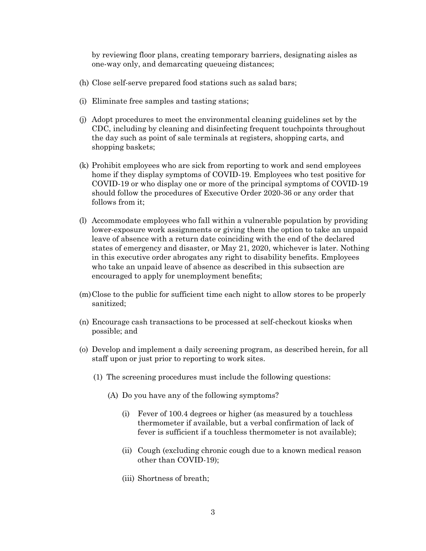by reviewing floor plans, creating temporary barriers, designating aisles as one-way only, and demarcating queueing distances;

- (h) Close self-serve prepared food stations such as salad bars;
- (i) Eliminate free samples and tasting stations;
- (j) Adopt procedures to meet the environmental cleaning guidelines set by the CDC, including by cleaning and disinfecting frequent touchpoints throughout the day such as point of sale terminals at registers, shopping carts, and shopping baskets;
- (k) Prohibit employees who are sick from reporting to work and send employees home if they display symptoms of COVID-19. Employees who test positive for COVID-19 or who display one or more of the principal symptoms of COVID-19 should follow the procedures of Executive Order 2020-36 or any order that follows from it;
- (l) Accommodate employees who fall within a vulnerable population by providing lower-exposure work assignments or giving them the option to take an unpaid leave of absence with a return date coinciding with the end of the declared states of emergency and disaster, or May 21, 2020, whichever is later. Nothing in this executive order abrogates any right to disability benefits. Employees who take an unpaid leave of absence as described in this subsection are encouraged to apply for unemployment benefits;
- (m)Close to the public for sufficient time each night to allow stores to be properly sanitized;
- (n) Encourage cash transactions to be processed at self-checkout kiosks when possible; and
- (o) Develop and implement a daily screening program, as described herein, for all staff upon or just prior to reporting to work sites.
	- (1) The screening procedures must include the following questions:
		- (A) Do you have any of the following symptoms?
			- (i) Fever of 100.4 degrees or higher (as measured by a touchless thermometer if available, but a verbal confirmation of lack of fever is sufficient if a touchless thermometer is not available);
			- (ii) Cough (excluding chronic cough due to a known medical reason other than COVID-19);
			- (iii) Shortness of breath;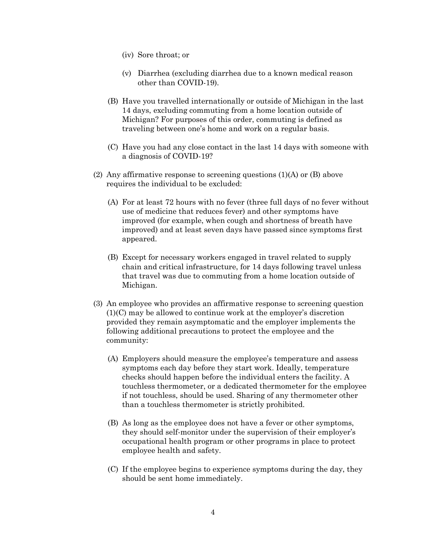- (iv) Sore throat; or
- (v) Diarrhea (excluding diarrhea due to a known medical reason other than COVID-19).
- (B) Have you travelled internationally or outside of Michigan in the last 14 days, excluding commuting from a home location outside of Michigan? For purposes of this order, commuting is defined as traveling between one's home and work on a regular basis.
- (C) Have you had any close contact in the last 14 days with someone with a diagnosis of COVID-19?
- (2) Any affirmative response to screening questions  $(1)(A)$  or  $(B)$  above requires the individual to be excluded:
	- (A) For at least 72 hours with no fever (three full days of no fever without use of medicine that reduces fever) and other symptoms have improved (for example, when cough and shortness of breath have improved) and at least seven days have passed since symptoms first appeared.
	- (B) Except for necessary workers engaged in travel related to supply chain and critical infrastructure, for 14 days following travel unless that travel was due to commuting from a home location outside of Michigan.
- (3) An employee who provides an affirmative response to screening question (1)(C) may be allowed to continue work at the employer's discretion provided they remain asymptomatic and the employer implements the following additional precautions to protect the employee and the community:
	- (A) Employers should measure the employee's temperature and assess symptoms each day before they start work. Ideally, temperature checks should happen before the individual enters the facility. A touchless thermometer, or a dedicated thermometer for the employee if not touchless, should be used. Sharing of any thermometer other than a touchless thermometer is strictly prohibited.
	- (B) As long as the employee does not have a fever or other symptoms, they should self-monitor under the supervision of their employer's occupational health program or other programs in place to protect employee health and safety.
	- (C) If the employee begins to experience symptoms during the day, they should be sent home immediately.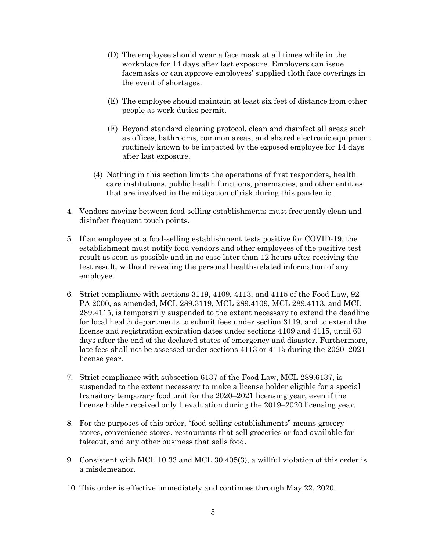- (D) The employee should wear a face mask at all times while in the workplace for 14 days after last exposure. Employers can issue facemasks or can approve employees' supplied cloth face coverings in the event of shortages.
- (E) The employee should maintain at least six feet of distance from other people as work duties permit.
- (F) Beyond standard cleaning protocol, clean and disinfect all areas such as offices, bathrooms, common areas, and shared electronic equipment routinely known to be impacted by the exposed employee for 14 days after last exposure.
- (4) Nothing in this section limits the operations of first responders, health care institutions, public health functions, pharmacies, and other entities that are involved in the mitigation of risk during this pandemic.
- 4. Vendors moving between food-selling establishments must frequently clean and disinfect frequent touch points.
- 5. If an employee at a food-selling establishment tests positive for COVID-19, the establishment must notify food vendors and other employees of the positive test result as soon as possible and in no case later than 12 hours after receiving the test result, without revealing the personal health-related information of any employee.
- 6. Strict compliance with sections 3119, 4109, 4113, and 4115 of the Food Law, 92 PA 2000, as amended, MCL 289.3119, MCL 289.4109, MCL 289.4113, and MCL 289.4115, is temporarily suspended to the extent necessary to extend the deadline for local health departments to submit fees under section 3119, and to extend the license and registration expiration dates under sections 4109 and 4115, until 60 days after the end of the declared states of emergency and disaster. Furthermore, late fees shall not be assessed under sections 4113 or 4115 during the 2020–2021 license year.
- 7. Strict compliance with subsection 6137 of the Food Law, MCL 289.6137, is suspended to the extent necessary to make a license holder eligible for a special transitory temporary food unit for the 2020–2021 licensing year, even if the license holder received only 1 evaluation during the 2019–2020 licensing year.
- 8. For the purposes of this order, "food-selling establishments" means grocery stores, convenience stores, restaurants that sell groceries or food available for takeout, and any other business that sells food.
- 9. Consistent with MCL 10.33 and MCL 30.405(3), a willful violation of this order is a misdemeanor.
- 10. This order is effective immediately and continues through May 22, 2020.